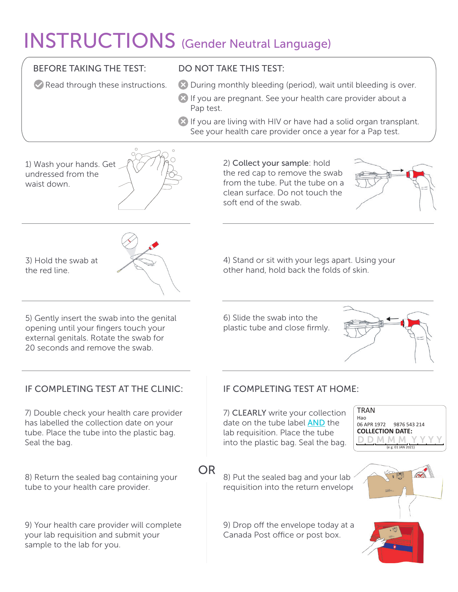## INSTRUCTIONS (Gender Neutral Language)